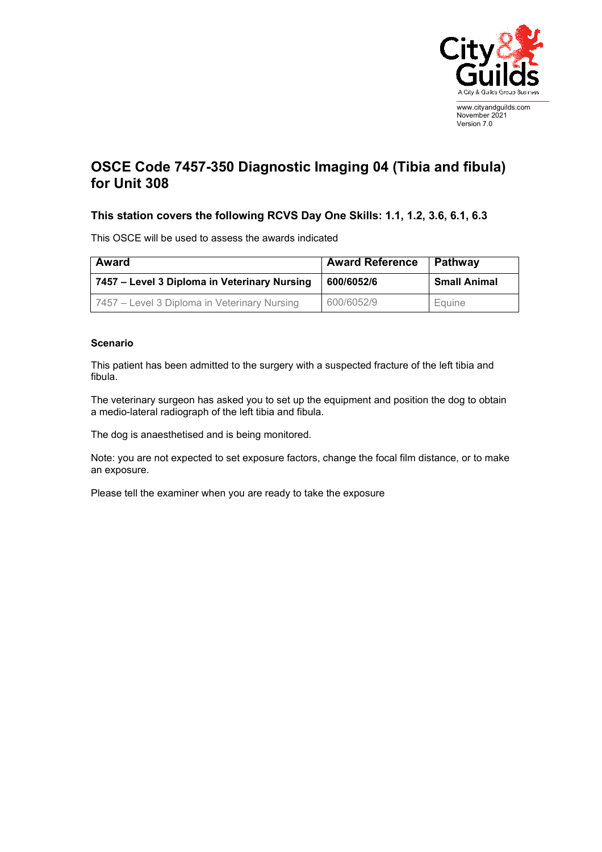

## **OSCE Code 7457-350 Diagnostic Imaging 04 (Tibia and fibula) for Unit 308**

## **This station covers the following RCVS Day One Skills: 1.1, 1.2, 3.6, 6.1, 6.3**

This OSCE will be used to assess the awards indicated

| <b>Award</b>                                 | <b>Award Reference</b> | Pathway             |
|----------------------------------------------|------------------------|---------------------|
| 7457 – Level 3 Diploma in Veterinary Nursing | 600/6052/6             | <b>Small Animal</b> |
| 7457 – Level 3 Diploma in Veterinary Nursing | 600/6052/9             | Equine              |

## **Scenario**

This patient has been admitted to the surgery with a suspected fracture of the left tibia and fibula.

The veterinary surgeon has asked you to set up the equipment and position the dog to obtain a medio-lateral radiograph of the left tibia and fibula.

The dog is anaesthetised and is being monitored.

Note: you are not expected to set exposure factors, change the focal film distance, or to make an exposure.

Please tell the examiner when you are ready to take the exposure